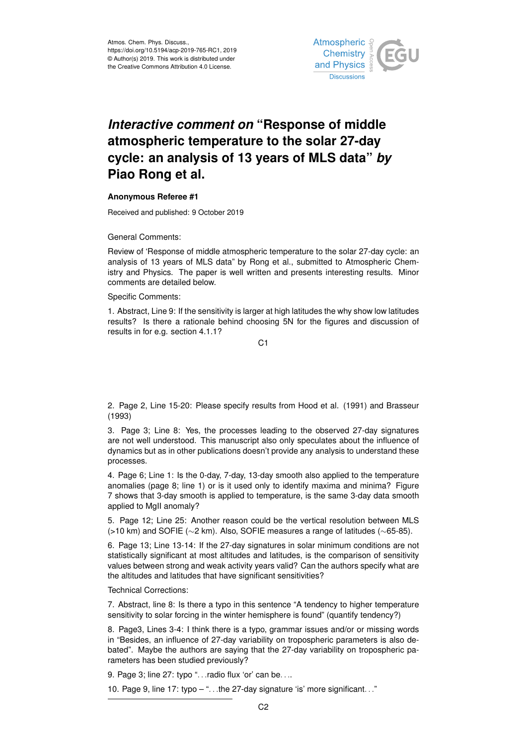

## *Interactive comment on* **"Response of middle atmospheric temperature to the solar 27-day cycle: an analysis of 13 years of MLS data"** *by* **Piao Rong et al.**

## **Anonymous Referee #1**

Received and published: 9 October 2019

General Comments:

Review of 'Response of middle atmospheric temperature to the solar 27-day cycle: an analysis of 13 years of MLS data" by Rong et al., submitted to Atmospheric Chemistry and Physics. The paper is well written and presents interesting results. Minor comments are detailed below.

Specific Comments:

1. Abstract, Line 9: If the sensitivity is larger at high latitudes the why show low latitudes results? Is there a rationale behind choosing 5N for the figures and discussion of results in for e.g. section 4.1.1?

C1

2. Page 2, Line 15-20: Please specify results from Hood et al. (1991) and Brasseur (1993)

3. Page 3; Line 8: Yes, the processes leading to the observed 27-day signatures are not well understood. This manuscript also only speculates about the influence of dynamics but as in other publications doesn't provide any analysis to understand these processes.

4. Page 6; Line 1: Is the 0-day, 7-day, 13-day smooth also applied to the temperature anomalies (page 8; line 1) or is it used only to identify maxima and minima? Figure 7 shows that 3-day smooth is applied to temperature, is the same 3-day data smooth applied to MgII anomaly?

5. Page 12; Line 25: Another reason could be the vertical resolution between MLS (>10 km) and SOFIE (∼2 km). Also, SOFIE measures a range of latitudes (∼65-85).

6. Page 13; Line 13-14: If the 27-day signatures in solar minimum conditions are not statistically significant at most altitudes and latitudes, is the comparison of sensitivity values between strong and weak activity years valid? Can the authors specify what are the altitudes and latitudes that have significant sensitivities?

Technical Corrections:

7. Abstract, line 8: Is there a typo in this sentence "A tendency to higher temperature sensitivity to solar forcing in the winter hemisphere is found" (quantify tendency?)

8. Page3, Lines 3-4: I think there is a typo, grammar issues and/or or missing words in "Besides, an influence of 27-day variability on tropospheric parameters is also debated". Maybe the authors are saying that the 27-day variability on tropospheric parameters has been studied previously?

9. Page 3; line 27: typo "...radio flux 'or' can be....

10. Page 9, line 17: typo – ". . .the 27-day signature 'is' more significant. . ."